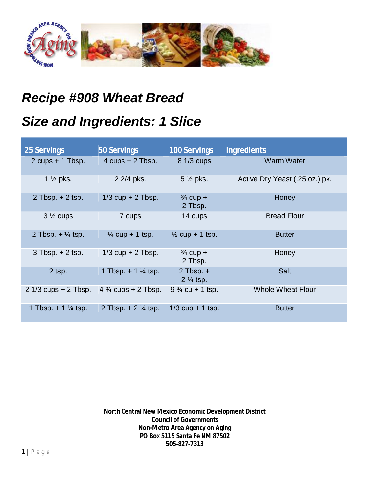

## *Recipe #908 Wheat Bread*

## *Size and Ingredients: 1 Slice*

| <b>25 Servings</b>               | 50 Servings                    | <b>100 Servings</b>                     | <b>Ingredients</b>             |
|----------------------------------|--------------------------------|-----------------------------------------|--------------------------------|
| 2 $cups + 1$ Tbsp.               | 4 $cups + 2$ Tbsp.             | 8 1/3 cups                              | <b>Warm Water</b>              |
| 1 $\frac{1}{2}$ pks.             | 2 2/4 pks.                     | $5\frac{1}{2}$ pks.                     | Active Dry Yeast (.25 oz.) pk. |
| 2 Tbsp. $+$ 2 tsp.               | $1/3$ cup + 2 Tbsp.            | $\frac{3}{4}$ cup +<br>2 Tbsp.          | Honey                          |
| $3\frac{1}{2}$ cups              | 7 cups                         | 14 cups                                 | <b>Bread Flour</b>             |
| 2 Tbsp. $+$ $\frac{1}{4}$ tsp.   | $\frac{1}{4}$ cup + 1 tsp.     | $\frac{1}{2}$ cup + 1 tsp.              | <b>Butter</b>                  |
| $3$ Tbsp. $+2$ tsp.              | $1/3$ cup + 2 Tbsp.            | $\frac{3}{4}$ cup +<br>2 Tbsp.          | Honey                          |
| $2$ tsp.                         | 1 Tbsp. $+ 1\frac{1}{4}$ tsp.  | $2$ Tbsp. $+$<br>2 1/ <sub>4</sub> tsp. | <b>Salt</b>                    |
| $21/3$ cups $+2$ Tbsp.           | 4 $\frac{3}{4}$ cups + 2 Tbsp. | $9\frac{3}{4}$ cu + 1 tsp.              | <b>Whole Wheat Flour</b>       |
| 1 Tbsp. $+$ 1 $\frac{1}{4}$ tsp. | 2 Tbsp. $+ 2 \frac{1}{4}$ tsp. | $1/3$ cup + 1 tsp.                      | <b>Butter</b>                  |

**North Central New Mexico Economic Development District Council of Governments Non-Metro Area Agency on Aging PO Box 5115 Santa Fe NM 87502 505-827-7313**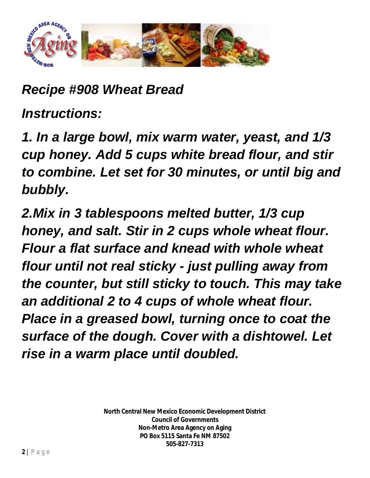

*Recipe #908 Wheat Bread*

*Instructions:*

*1. In a large bowl, mix warm water, yeast, and 1/3 cup honey. Add 5 cups white bread flour, and stir to combine. Let set for 30 minutes, or until big and bubbly.*

*2.Mix in 3 tablespoons melted butter, 1/3 cup honey, and salt. Stir in 2 cups whole wheat flour. Flour a flat surface and knead with whole wheat flour until not real sticky - just pulling away from the counter, but still sticky to touch. This may take an additional 2 to 4 cups of whole wheat flour. Place in a greased bowl, turning once to coat the surface of the dough. Cover with a dishtowel. Let rise in a warm place until doubled.*

> **North Central New Mexico Economic Development District Council of Governments Non-Metro Area Agency on Aging PO Box 5115 Santa Fe NM 87502 505-827-7313**